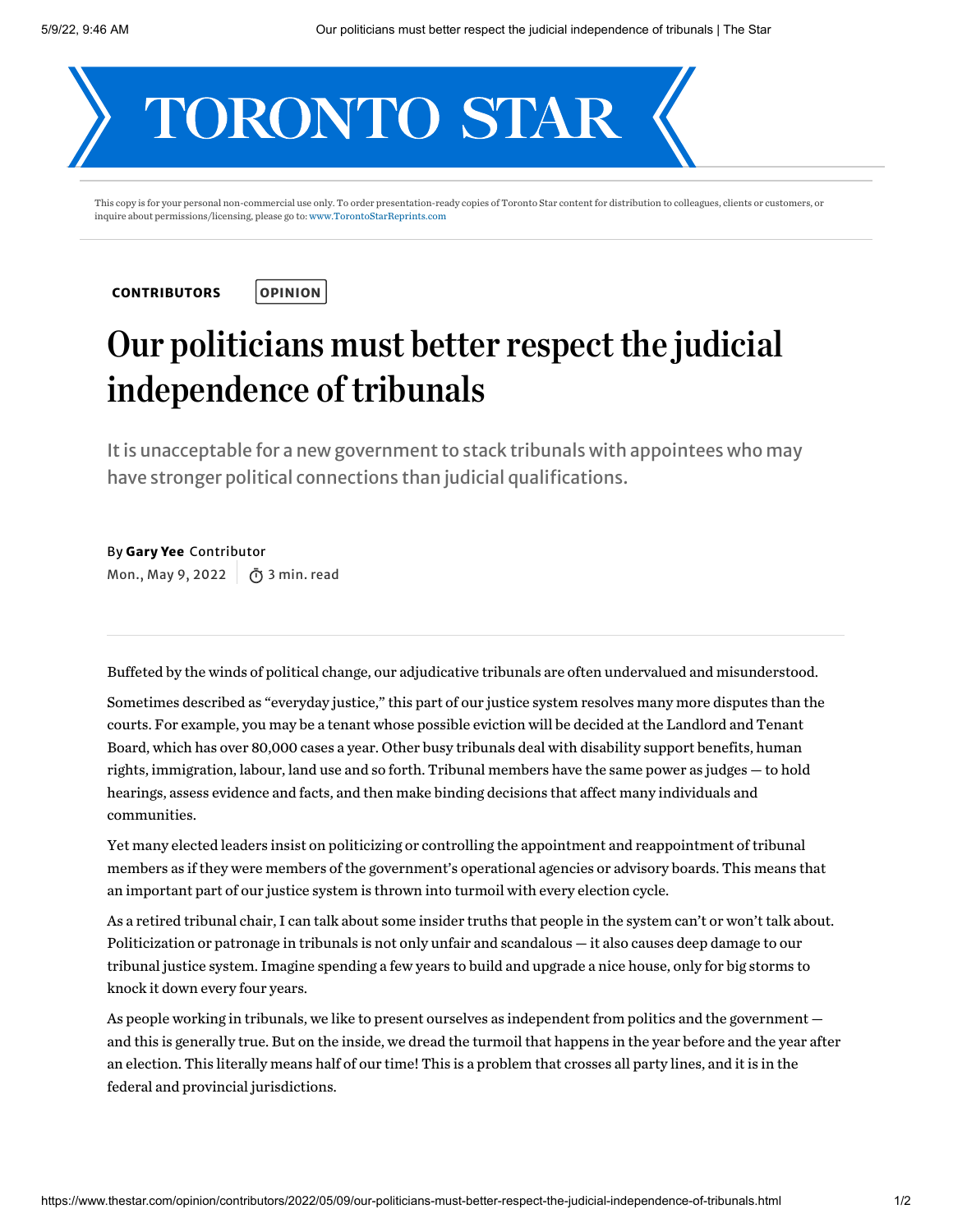

This copy is for your personal non-commercial use only. To order presentation-ready copies of Toronto Star content for distribution to colleagues, clients or customers, or inquire about permissions/licensing, please go to: [www.TorontoStarReprints.com](http://www.torontostarreprints.com/)

**[CONTRIBUTORS](https://www.thestar.com/opinion/contributors.html)** 



## Our politicians must better respect the judicial independence of tribunals

It is unacceptable for a new government to stack tribunals with appointees who may have stronger political connections than judicial qualifications.

By Gary Yee Contributor Mon., May 9, 2022 | ក្យិ 3 min. read

Buffeted bythe winds of political change, our adjudicative tribunals are often undervalued and misunderstood.

Sometimes described as "everydayjustice," this part of our justice system resolves many more disputes than the courts. For example,you may be a tenant whose possible eviction will be decided at the Landlord and Tenant Board, which has over 80,000 cases a year. Other busy tribunals deal with disability support benefits, human rights, immigration, labour, land use and so forth. Tribunal members have the same power as judges — to hold hearings, assess evidence and facts, and then make binding decisions that affect manyindividuals and communities.

Yet manyelected leaders insist on politicizing or controlling the appointment and reappointment of tribunal members as if they were members of the government's operational agencies or advisory boards. This means that an important part of our justice system is thrown into turmoil with everyelection cycle.

As a retired tribunal chair, I can talk about some insider truths that people in the system can't or won't talk about. Politicization or patronage in tribunals is not only unfair and scandalous — it also causes deep damage to our tribunal justice system. Imagine spending a few years to build and upgrade a nice house, onlyfor big storms to knock it down every four years.

As people working in tribunals, we like to present ourselves as independent from politics and the government and this is generally true. But on the inside, we dread the turmoil that happens in the year before and the year after an election. This literally means half of our time! This is a problem that crosses all partylines, and it is in the federal and provincial jurisdictions.